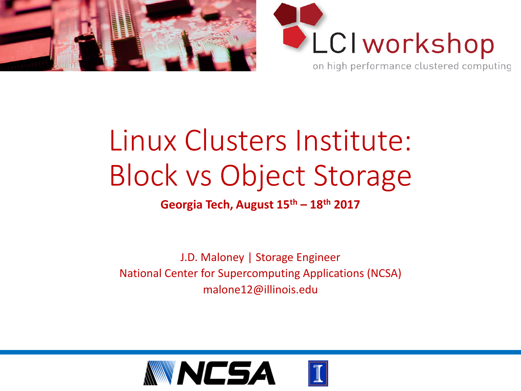



## Linux Clusters Institute: Block vs Object Storage

**Georgia Tech, August 15th – 18th 2017**

J.D. Maloney | Storage Engineer National Center for Supercomputing Applications (NCSA) malone12@illinois.edu

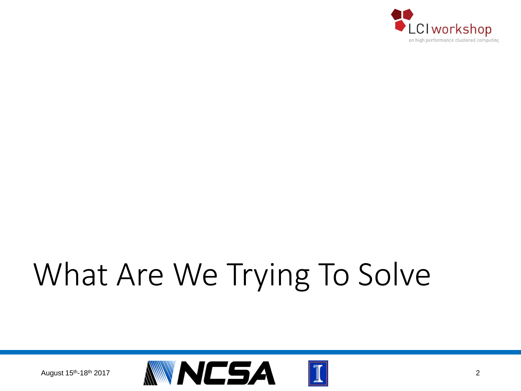

# What Are We Trying To Solve

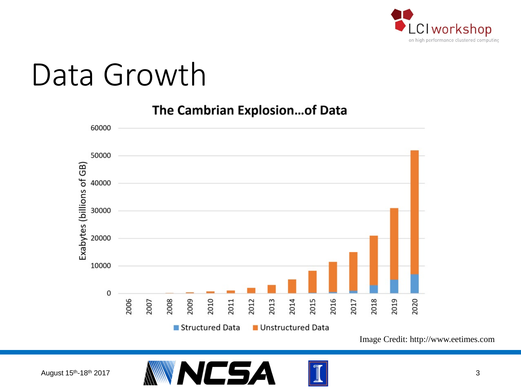

## Data Growth

Exabytes (billions of GB) Structured Data **Unstructured Data** 

The Cambrian Explosion...of Data

Image Credit: http://www.eetimes.com





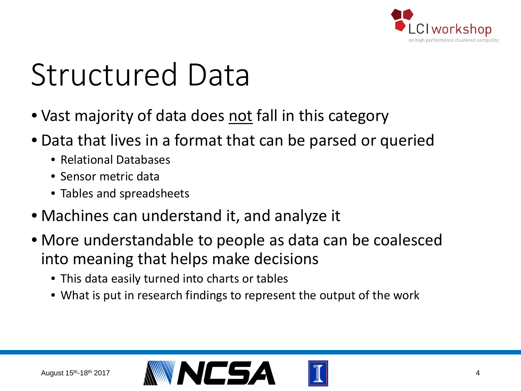

# Structured Data

- Vast majority of data does not fall in this category
- Data that lives in a format that can be parsed or queried
	- Relational Databases
	- Sensor metric data
	- Tables and spreadsheets
- Machines can understand it, and analyze it
- More understandable to people as data can be coalesced into meaning that helps make decisions
	- This data easily turned into charts or tables
	- What is put in research findings to represent the output of the work

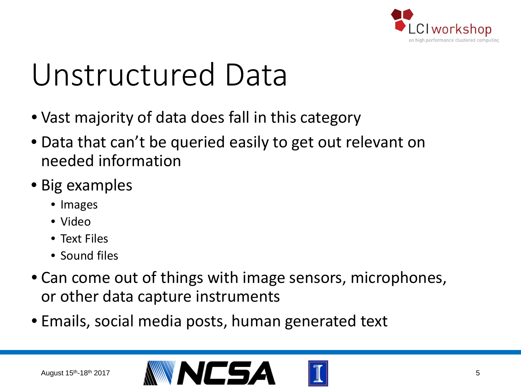

## Unstructured Data

- Vast majority of data does fall in this category
- Data that can't be queried easily to get out relevant on needed information
- Big examples
	- Images
	- Video
	- Text Files
	- Sound files
- Can come out of things with image sensors, microphones, or other data capture instruments
- Emails, social media posts, human generated text

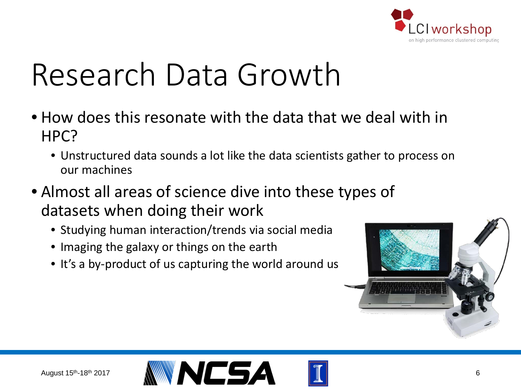

# Research Data Growth

- How does this resonate with the data that we deal with in HPC?
	- Unstructured data sounds a lot like the data scientists gather to process on our machines
- Almost all areas of science dive into these types of datasets when doing their work
	- Studying human interaction/trends via social media
	- Imaging the galaxy or things on the earth
	- It's a by-product of us capturing the world around us



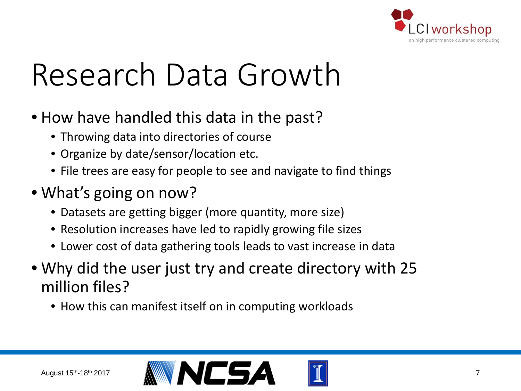

# Research Data Growth

- How have handled this data in the past?
	- Throwing data into directories of course
	- Organize by date/sensor/location etc.
	- File trees are easy for people to see and navigate to find things
- What's going on now?
	- Datasets are getting bigger (more quantity, more size)
	- Resolution increases have led to rapidly growing file sizes
	- Lower cost of data gathering tools leads to vast increase in data
- Why did the user just try and create directory with 25 million files?
	- How this can manifest itself on in computing workloads

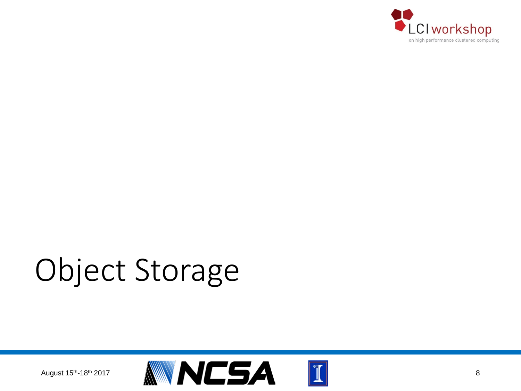

# Object Storage

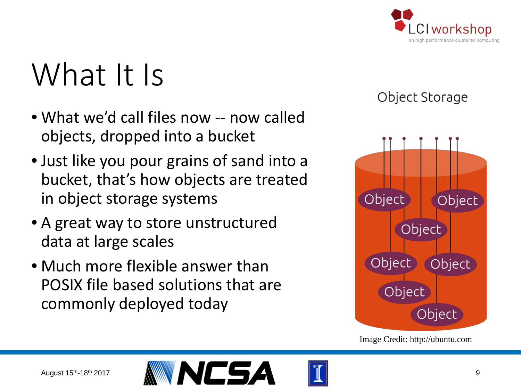

## What It Is

- What we'd call files now -- now called objects, dropped into a bucket
- Just like you pour grains of sand into a bucket, that's how objects are treated in object storage systems
- A great way to store unstructured data at large scales
- Much more flexible answer than POSIX file based solutions that are commonly deployed today





Image Credit: http://ubuntu.com

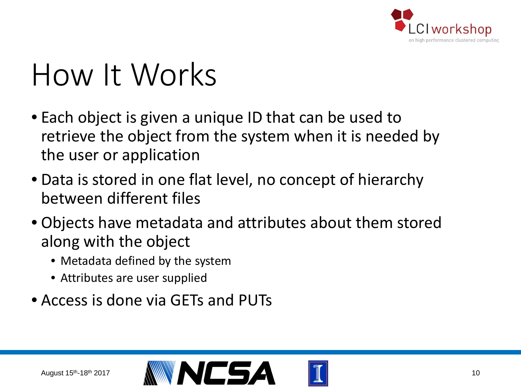

- Each object is given a unique ID that can be used to retrieve the object from the system when it is needed by the user or application
- Data is stored in one flat level, no concept of hierarchy between different files
- Objects have metadata and attributes about them stored along with the object
	- Metadata defined by the system
	- Attributes are user supplied
- Access is done via GETs and PUTs

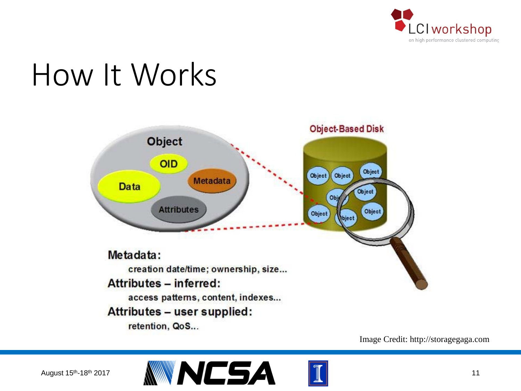



Image Credit: http://storagegaga.com



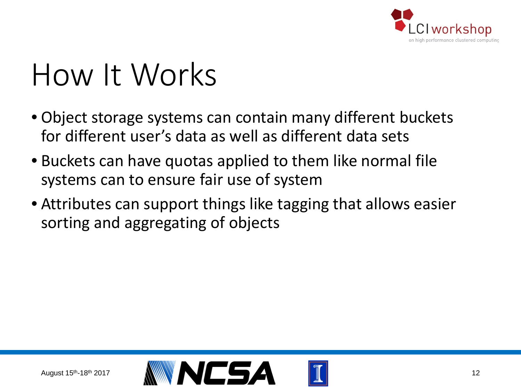

- Object storage systems can contain many different buckets for different user's data as well as different data sets
- Buckets can have quotas applied to them like normal file systems can to ensure fair use of system
- Attributes can support things like tagging that allows easier sorting and aggregating of objects

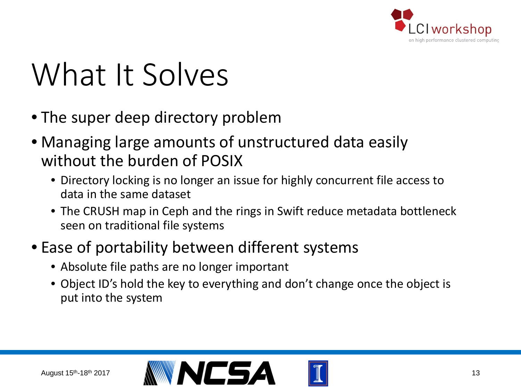

# What It Solves

- The super deep directory problem
- Managing large amounts of unstructured data easily without the burden of POSIX
	- Directory locking is no longer an issue for highly concurrent file access to data in the same dataset
	- The CRUSH map in Ceph and the rings in Swift reduce metadata bottleneck seen on traditional file systems

#### • Ease of portability between different systems

- Absolute file paths are no longer important
- Object ID's hold the key to everything and don't change once the object is put into the system

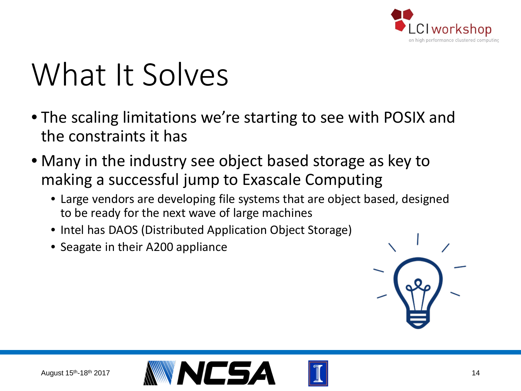

# What It Solves

- The scaling limitations we're starting to see with POSIX and the constraints it has
- Many in the industry see object based storage as key to making a successful jump to Exascale Computing
	- Large vendors are developing file systems that are object based, designed to be ready for the next wave of large machines
	- Intel has DAOS (Distributed Application Object Storage)
	- Seagate in their A200 appliance





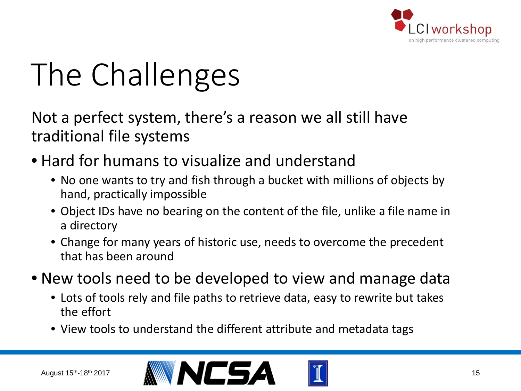

Not a perfect system, there's a reason we all still have traditional file systems

- Hard for humans to visualize and understand
	- No one wants to try and fish through a bucket with millions of objects by hand, practically impossible
	- Object IDs have no bearing on the content of the file, unlike a file name in a directory
	- Change for many years of historic use, needs to overcome the precedent that has been around
- New tools need to be developed to view and manage data
	- Lots of tools rely and file paths to retrieve data, easy to rewrite but takes the effort
	- View tools to understand the different attribute and metadata tags



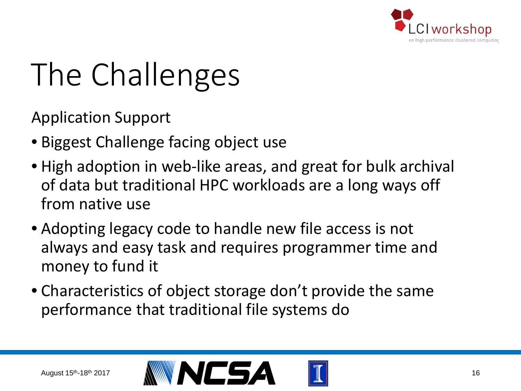

Application Support

- Biggest Challenge facing object use
- High adoption in web-like areas, and great for bulk archival of data but traditional HPC workloads are a long ways off from native use
- Adopting legacy code to handle new file access is not always and easy task and requires programmer time and money to fund it
- Characteristics of object storage don't provide the same performance that traditional file systems do

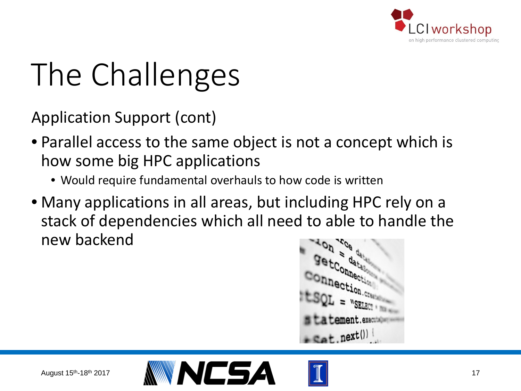

Application Support (cont)

- Parallel access to the same object is not a concept which is how some big HPC applications
	- Would require fundamental overhauls to how code is written
- Many applications in all areas, but including HPC rely on a stack of dependencies which all need to able to handle the new backend

 $ext$ , next()



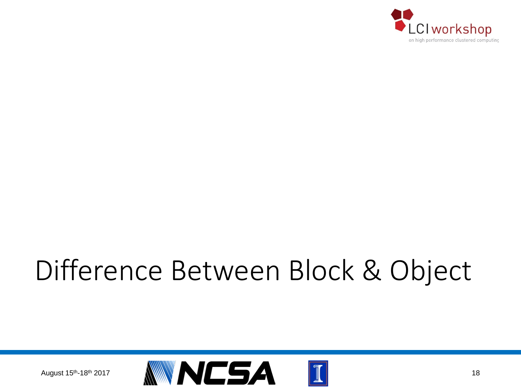

### Difference Between Block & Object

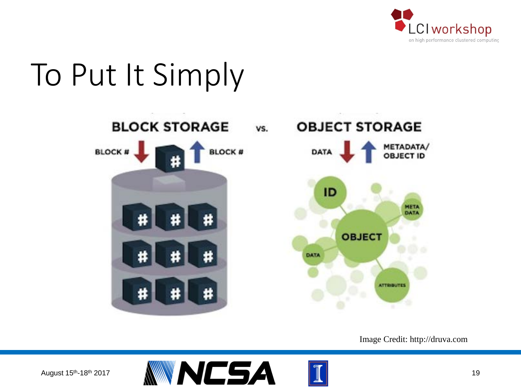

#### To Put It Simply



Image Credit: http://druva.com

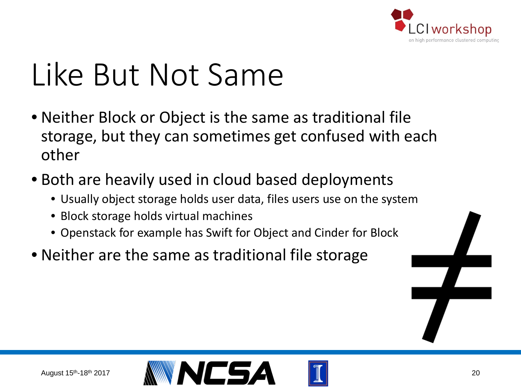

# Like But Not Same

- Neither Block or Object is the same as traditional file storage, but they can sometimes get confused with each other
- Both are heavily used in cloud based deployments
	- Usually object storage holds user data, files users use on the system
	- Block storage holds virtual machines
	- Openstack for example has Swift for Object and Cinder for Block
- Neither are the same as traditional file storage



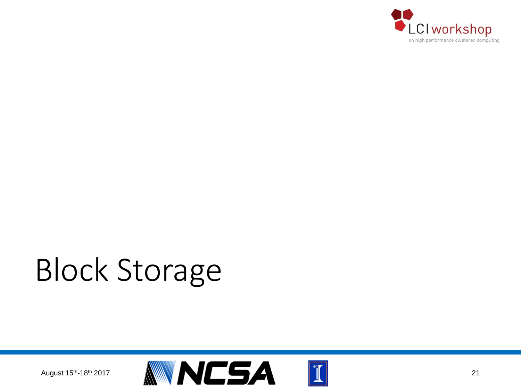

# Block Storage

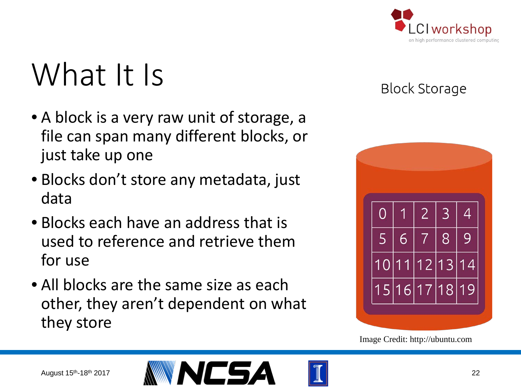

## What It Is

- A block is a very raw unit of storage, a file can span many different blocks, or just take up one
- Blocks don't store any metadata, just data
- Blocks each have an address that is used to reference and retrieve them for use
- All blocks are the same size as each other, they aren't dependent on what they store

#### **Block Storage**



Image Credit: http://ubuntu.com



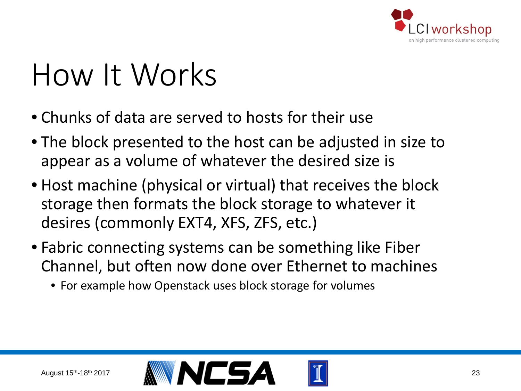

- Chunks of data are served to hosts for their use
- The block presented to the host can be adjusted in size to appear as a volume of whatever the desired size is
- Host machine (physical or virtual) that receives the block storage then formats the block storage to whatever it desires (commonly EXT4, XFS, ZFS, etc.)
- Fabric connecting systems can be something like Fiber Channel, but often now done over Ethernet to machines
	- For example how Openstack uses block storage for volumes

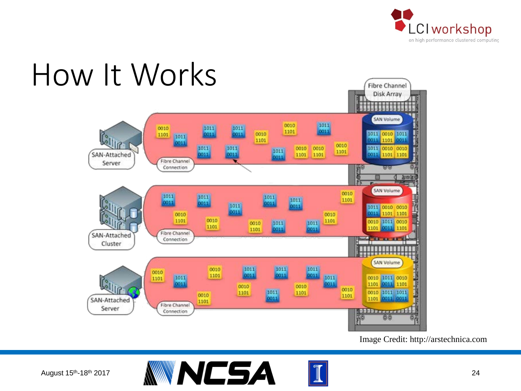



Image Credit: http://arstechnica.com





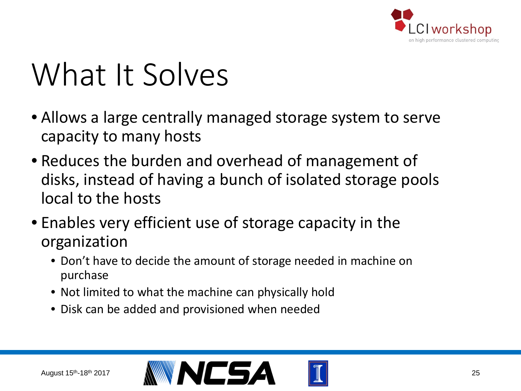

## What It Solves

- Allows a large centrally managed storage system to serve capacity to many hosts
- Reduces the burden and overhead of management of disks, instead of having a bunch of isolated storage pools local to the hosts
- Enables very efficient use of storage capacity in the organization
	- Don't have to decide the amount of storage needed in machine on purchase
	- Not limited to what the machine can physically hold
	- Disk can be added and provisioned when needed

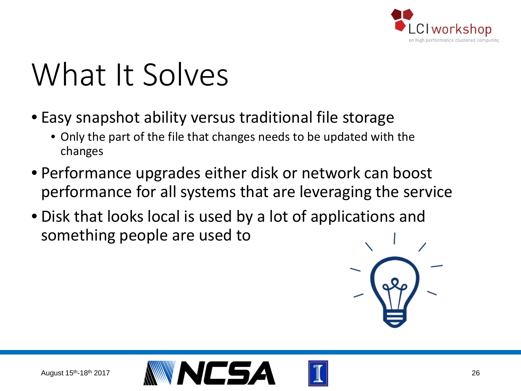

# What It Solves

- Easy snapshot ability versus traditional file storage
	- Only the part of the file that changes needs to be updated with the changes
- Performance upgrades either disk or network can boost performance for all systems that are leveraging the service
- Disk that looks local is used by a lot of applications and something people are used to



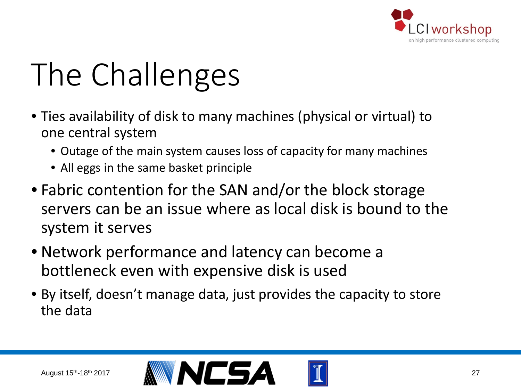

- Ties availability of disk to many machines (physical or virtual) to one central system
	- Outage of the main system causes loss of capacity for many machines
	- All eggs in the same basket principle
- Fabric contention for the SAN and/or the block storage servers can be an issue where as local disk is bound to the system it serves
- Network performance and latency can become a bottleneck even with expensive disk is used
- By itself, doesn't manage data, just provides the capacity to store the data

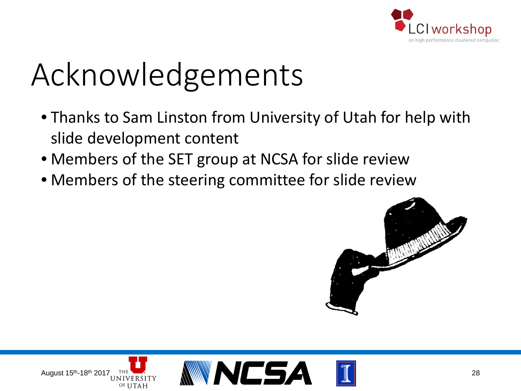

# Acknowledgements

- Thanks to Sam Linston from University of Utah for help with slide development content
- Members of the SET group at NCSA for slide review
- Members of the steering committee for slide review